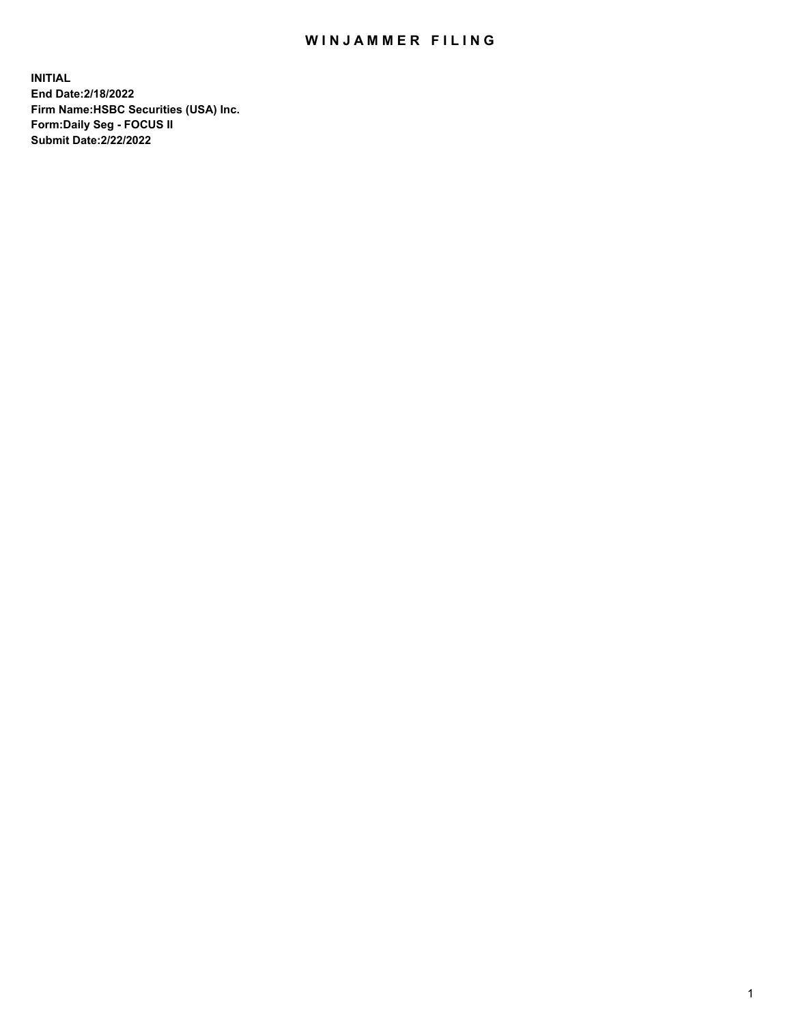## WIN JAMMER FILING

**INITIAL End Date:2/18/2022 Firm Name:HSBC Securities (USA) Inc. Form:Daily Seg - FOCUS II Submit Date:2/22/2022**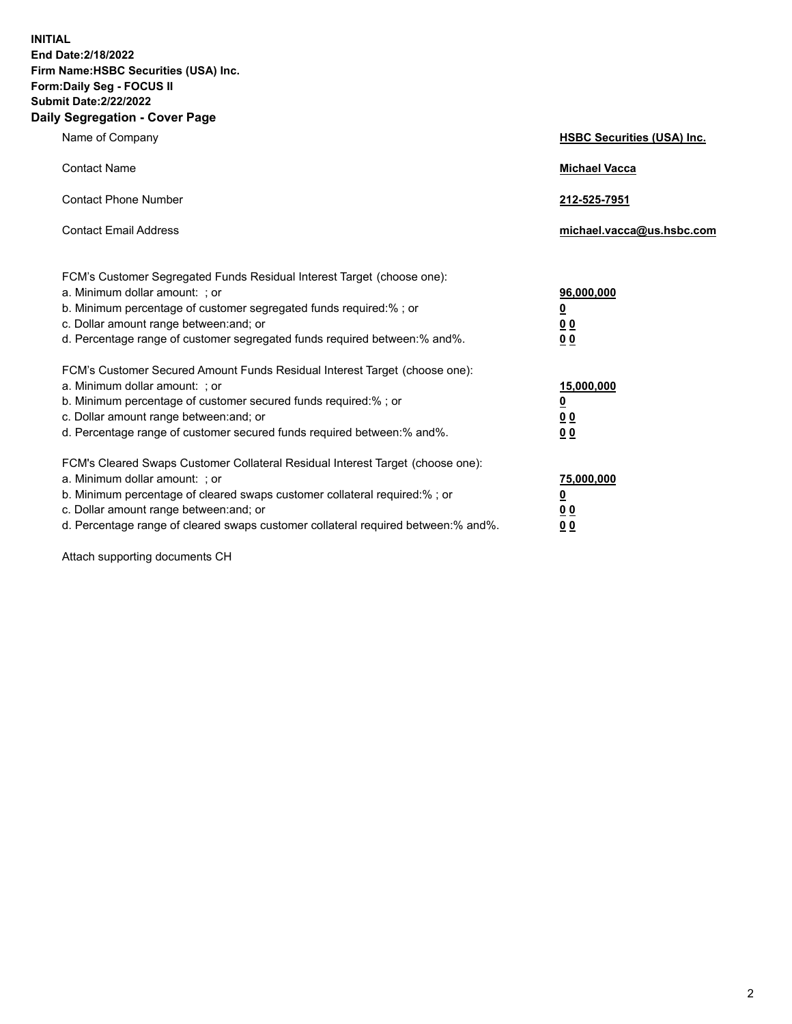**INITIAL End Date:2/18/2022 Firm Name:HSBC Securities (USA) Inc. Form:Daily Seg - FOCUS II Submit Date:2/22/2022 Daily Segregation - Cover Page**

| Name of Company                                                                                                                                                                                                                                                                                                                | <b>HSBC Securities (USA) Inc.</b>                          |
|--------------------------------------------------------------------------------------------------------------------------------------------------------------------------------------------------------------------------------------------------------------------------------------------------------------------------------|------------------------------------------------------------|
| <b>Contact Name</b>                                                                                                                                                                                                                                                                                                            | <b>Michael Vacca</b>                                       |
| <b>Contact Phone Number</b>                                                                                                                                                                                                                                                                                                    | 212-525-7951                                               |
| <b>Contact Email Address</b>                                                                                                                                                                                                                                                                                                   | michael.vacca@us.hsbc.com                                  |
| FCM's Customer Segregated Funds Residual Interest Target (choose one):<br>a. Minimum dollar amount: ; or<br>b. Minimum percentage of customer segregated funds required:% ; or<br>c. Dollar amount range between: and; or<br>d. Percentage range of customer segregated funds required between:% and%.                         | 96,000,000<br><u>0</u><br>0 <sub>0</sub><br>0 <sub>0</sub> |
| FCM's Customer Secured Amount Funds Residual Interest Target (choose one):<br>a. Minimum dollar amount: ; or<br>b. Minimum percentage of customer secured funds required:%; or<br>c. Dollar amount range between: and; or<br>d. Percentage range of customer secured funds required between:% and%.                            | 15,000,000<br><u>0</u><br>0 <sub>0</sub><br>00             |
| FCM's Cleared Swaps Customer Collateral Residual Interest Target (choose one):<br>a. Minimum dollar amount: ; or<br>b. Minimum percentage of cleared swaps customer collateral required:% ; or<br>c. Dollar amount range between: and; or<br>d. Percentage range of cleared swaps customer collateral required between:% and%. | 75,000,000<br><u>0</u><br><u>00</u><br>00                  |

Attach supporting documents CH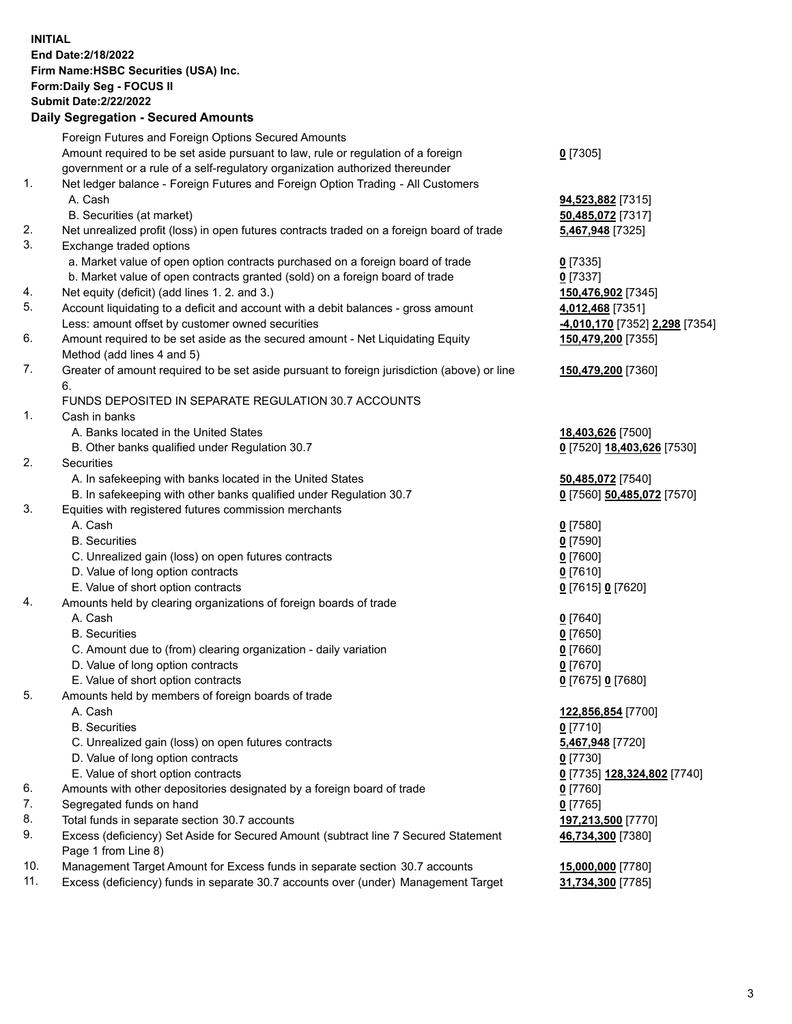**INITIAL End Date:2/18/2022 Firm Name:HSBC Securities (USA) Inc. Form:Daily Seg - FOCUS II Submit Date:2/22/2022 Daily Segregation - Secured Amounts** Foreign Futures and Foreign Options Secured Amounts Amount required to be set aside pursuant to law, rule or regulation of a foreign government or a rule of a self-regulatory organization authorized thereunder

## 1. Net ledger balance - Foreign Futures and Foreign Option Trading - All Customers A. Cash **94,523,882** [7315]

- B. Securities (at market) **50,485,072** [7317]
- 2. Net unrealized profit (loss) in open futures contracts traded on a foreign board of trade **5,467,948** [7325]
- 3. Exchange traded options
	- a. Market value of open option contracts purchased on a foreign board of trade **0** [7335]
	- b. Market value of open contracts granted (sold) on a foreign board of trade **0** [7337]
- 4. Net equity (deficit) (add lines 1. 2. and 3.) **150,476,902** [7345]
- 5. Account liquidating to a deficit and account with a debit balances gross amount **4,012,468** [7351] Less: amount offset by customer owned securities **-4,010,170** [7352] **2,298** [7354]
- 6. Amount required to be set aside as the secured amount Net Liquidating Equity Method (add lines 4 and 5)
- 7. Greater of amount required to be set aside pursuant to foreign jurisdiction (above) or line 6.

## FUNDS DEPOSITED IN SEPARATE REGULATION 30.7 ACCOUNTS

- 1. Cash in banks
	- A. Banks located in the United States **18,403,626** [7500]
	- B. Other banks qualified under Regulation 30.7 **0** [7520] **18,403,626** [7530]
- 2. Securities
	- A. In safekeeping with banks located in the United States **50,485,072** [7540]
	- B. In safekeeping with other banks qualified under Regulation 30.7 **0** [7560] **50,485,072** [7570]
- 3. Equities with registered futures commission merchants
	- A. Cash **0** [7580]
	- B. Securities **0** [7590]
	- C. Unrealized gain (loss) on open futures contracts **0** [7600]
	- D. Value of long option contracts **0** [7610]
	- E. Value of short option contracts **0** [7615] **0** [7620]
- 4. Amounts held by clearing organizations of foreign boards of trade
	- A. Cash **0** [7640]
	- B. Securities **0** [7650]
	- C. Amount due to (from) clearing organization daily variation **0** [7660]
	- D. Value of long option contracts **0** [7670]
	- E. Value of short option contracts **0** [7675] **0** [7680]
- 5. Amounts held by members of foreign boards of trade
	-
	- B. Securities **0** [7710]
	- C. Unrealized gain (loss) on open futures contracts **5,467,948** [7720]
	- D. Value of long option contracts **0** [7730]
	- E. Value of short option contracts **0** [7735] **128,324,802** [7740]
- 6. Amounts with other depositories designated by a foreign board of trade **0** [7760]
- 7. Segregated funds on hand **0** [7765]
- 8. Total funds in separate section 30.7 accounts **197,213,500** [7770]
- 9. Excess (deficiency) Set Aside for Secured Amount (subtract line 7 Secured Statement Page 1 from Line 8)
- 10. Management Target Amount for Excess funds in separate section 30.7 accounts **15,000,000** [7780]
- 11. Excess (deficiency) funds in separate 30.7 accounts over (under) Management Target **31,734,300** [7785]
- **0** [7305]
- 
- **150,479,200** [7355]
- **150,479,200** [7360]
- 
- 
- 
- 
- A. Cash **122,856,854** [7700]
	-
	- **46,734,300** [7380]
	-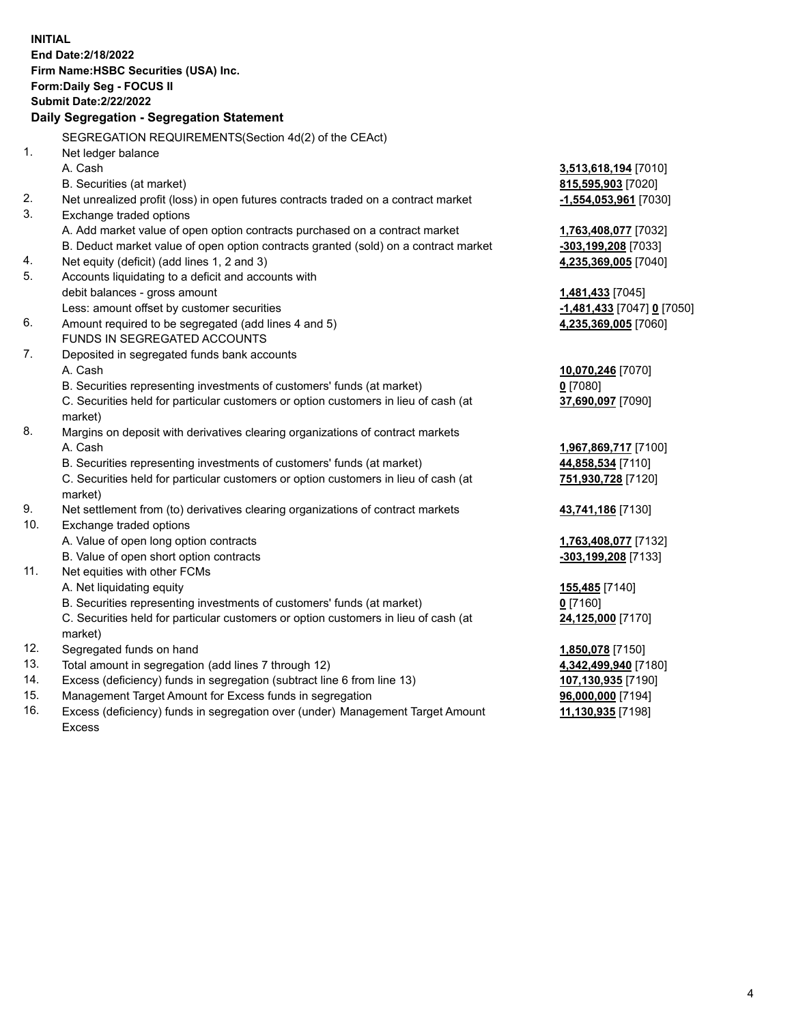**INITIAL End Date:2/18/2022 Firm Name:HSBC Securities (USA) Inc. Form:Daily Seg - FOCUS II Submit Date:2/22/2022 Daily Segregation - Segregation Statement** SEGREGATION REQUIREMENTS(Section 4d(2) of the CEAct) 1. Net ledger balance A. Cash **3,513,618,194** [7010] B. Securities (at market) **815,595,903** [7020] 2. Net unrealized profit (loss) in open futures contracts traded on a contract market **-1,554,053,961** [7030] 3. Exchange traded options A. Add market value of open option contracts purchased on a contract market **1,763,408,077** [7032] B. Deduct market value of open option contracts granted (sold) on a contract market **-303,199,208** [7033] 4. Net equity (deficit) (add lines 1, 2 and 3) **4,235,369,005** [7040] 5. Accounts liquidating to a deficit and accounts with debit balances - gross amount **1,481,433** [7045] Less: amount offset by customer securities **-1,481,433** [7047] **0** [7050] 6. Amount required to be segregated (add lines 4 and 5) **4,235,369,005** [7060] FUNDS IN SEGREGATED ACCOUNTS 7. Deposited in segregated funds bank accounts A. Cash **10,070,246** [7070] B. Securities representing investments of customers' funds (at market) **0** [7080] C. Securities held for particular customers or option customers in lieu of cash (at market) **37,690,097** [7090] 8. Margins on deposit with derivatives clearing organizations of contract markets A. Cash **1,967,869,717** [7100] B. Securities representing investments of customers' funds (at market) **44,858,534** [7110] C. Securities held for particular customers or option customers in lieu of cash (at market) **751,930,728** [7120] 9. Net settlement from (to) derivatives clearing organizations of contract markets **43,741,186** [7130] 10. Exchange traded options A. Value of open long option contracts **1,763,408,077** [7132] B. Value of open short option contracts **-303,199,208** [7133] 11. Net equities with other FCMs A. Net liquidating equity **155,485** [7140] B. Securities representing investments of customers' funds (at market) **0** [7160] C. Securities held for particular customers or option customers in lieu of cash (at market) **24,125,000** [7170] 12. Segregated funds on hand **1,850,078** [7150] 13. Total amount in segregation (add lines 7 through 12) **4,342,499,940** [7180] 14. Excess (deficiency) funds in segregation (subtract line 6 from line 13) **107,130,935** [7190] 15. Management Target Amount for Excess funds in segregation **96,000,000** [7194] 16. Excess (deficiency) funds in segregation over (under) Management Target Amount **11,130,935** [7198]

Excess